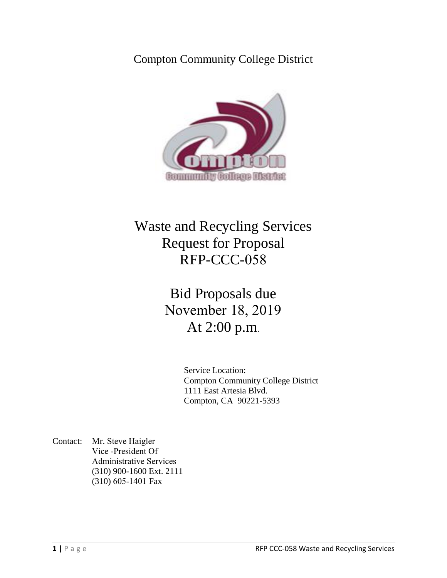## Compton Community College District



## Waste and Recycling Services Request for Proposal RFP-CCC-058

# Bid Proposals due November 18, 2019 At 2:00 p.m.

Service Location: Compton Community College District 1111 East Artesia Blvd. Compton, CA 90221-5393

Contact: Mr. Steve Haigler Vice -President Of Administrative Services (310) 900-1600 Ext. 2111 (310) 605-1401 Fax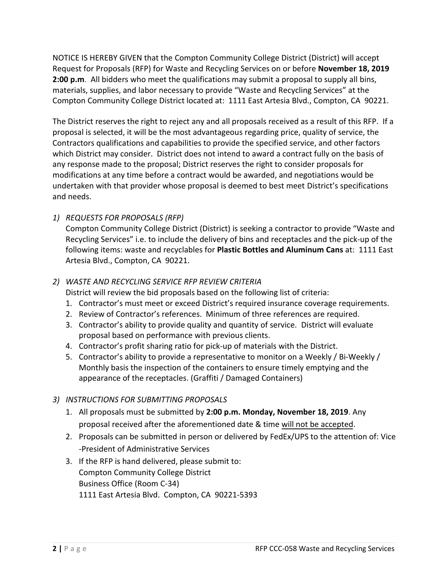NOTICE IS HEREBY GIVEN that the Compton Community College District (District) will accept Request for Proposals (RFP) for Waste and Recycling Services on or before **November 18, 2019 2:00 p.m**. All bidders who meet the qualifications may submit a proposal to supply all bins, materials, supplies, and labor necessary to provide "Waste and Recycling Services" at the Compton Community College District located at: 1111 East Artesia Blvd., Compton, CA 90221.

The District reserves the right to reject any and all proposals received as a result of this RFP. If a proposal is selected, it will be the most advantageous regarding price, quality of service, the Contractors qualifications and capabilities to provide the specified service, and other factors which District may consider. District does not intend to award a contract fully on the basis of any response made to the proposal; District reserves the right to consider proposals for modifications at any time before a contract would be awarded, and negotiations would be undertaken with that provider whose proposal is deemed to best meet District's specifications and needs.

### *1) REQUESTS FOR PROPOSALS (RFP)*

Compton Community College District (District) is seeking a contractor to provide "Waste and Recycling Services" i.e. to include the delivery of bins and receptacles and the pick-up of the following items: waste and recyclables for **Plastic Bottles and Aluminum Cans** at: 1111 East Artesia Blvd., Compton, CA 90221.

#### *2) WASTE AND RECYCLING SERVICE RFP REVIEW CRITERIA*

District will review the bid proposals based on the following list of criteria:

- 1. Contractor's must meet or exceed District's required insurance coverage requirements.
- 2. Review of Contractor's references. Minimum of three references are required.
- 3. Contractor's ability to provide quality and quantity of service. District will evaluate proposal based on performance with previous clients.
- 4. Contractor's profit sharing ratio for pick-up of materials with the District.
- 5. Contractor's ability to provide a representative to monitor on a Weekly / Bi-Weekly / Monthly basis the inspection of the containers to ensure timely emptying and the appearance of the receptacles. (Graffiti / Damaged Containers)

### *3) INSTRUCTIONS FOR SUBMITTING PROPOSALS*

- 1. All proposals must be submitted by **2:00 p.m. Monday, November 18, 2019**. Any proposal received after the aforementioned date & time will not be accepted.
- 2. Proposals can be submitted in person or delivered by FedEx/UPS to the attention of: Vice -President of Administrative Services
- 3. If the RFP is hand delivered, please submit to: Compton Community College District Business Office (Room C-34) 1111 East Artesia Blvd. Compton, CA 90221-5393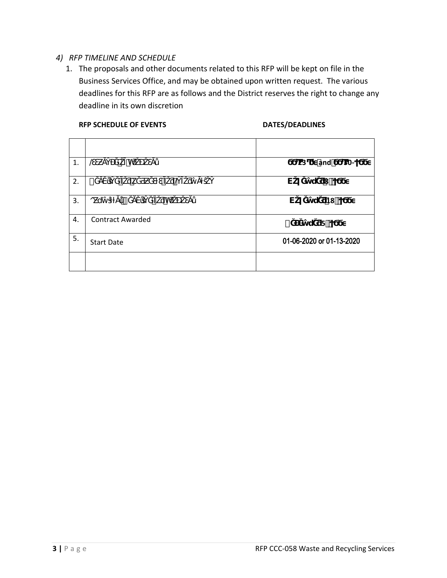#### *4) RFP TIMELINE AND SCHEDULE*

1. The proposals and other documents related to this RFP will be kept on file in the Business Services Office, and may be obtained upon written request. The various deadlines for this RFP are as follows and the District reserves the right to change any deadline in its own discretion

#### RFP SCHEDULE OF EVENTS **DATES/DEADLINES**

| 1. | ٠<br>'n<br>$^{\copyright}$        | and<br>23<br>$30-$              |
|----|-----------------------------------|---------------------------------|
| 2. | $\cdot$<br>٠<br>Ϊ<br>$\dot\varpi$ | v<br>8 <sup>1</sup>             |
| 3. | ٠<br>'n<br>$\mathbf{O}$           | $\mathsf{V}$<br>18 <sup>1</sup> |
| 4. | <b>Contract Awarded</b>           | 5                               |
| 5. | <b>Start Date</b>                 | 01-06-2020 or 01-13-2020        |
|    |                                   |                                 |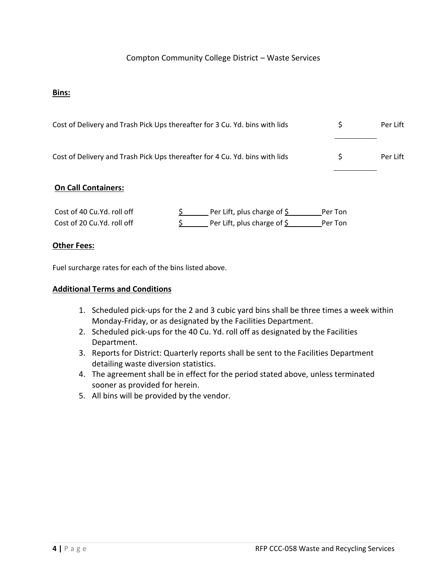#### Compton Community College District – Waste Services

#### **Bins:**

| Cost of Delivery and Trash Pick Ups thereafter for 3 Cu. Yd. bins with lids | Per Lift |
|-----------------------------------------------------------------------------|----------|
| Cost of Delivery and Trash Pick Ups thereafter for 4 Cu. Yd. bins with lids | Per Lift |

#### **On Call Containers:**

| Cost of 40 Cu.Yd. roll off | Per Lift, plus charge of $\frac{1}{2}$ | Per Ton |
|----------------------------|----------------------------------------|---------|
| Cost of 20 Cu.Yd. roll off | Per Lift, plus charge of $\frac{1}{2}$ | Per Ton |

#### **Other Fees:**

Fuel surcharge rates for each of the bins listed above.

#### **Additional Terms and Conditions**

- 1. Scheduled pick-ups for the 2 and 3 cubic yard bins shall be three times a week within Monday-Friday, or as designated by the Facilities Department.
- 2. Scheduled pick-ups for the 40 Cu. Yd. roll off as designated by the Facilities Department.
- 3. Reports for District: Quarterly reports shall be sent to the Facilities Department detailing waste diversion statistics.
- 4. The agreement shall be in effect for the period stated above, unless terminated sooner as provided for herein.
- 5. All bins will be provided by the vendor.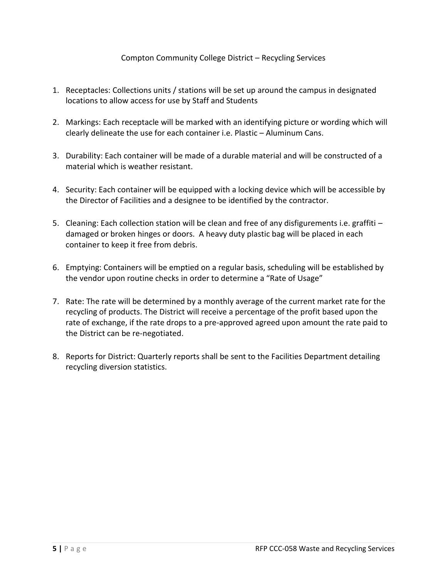#### Compton Community College District – Recycling Services

- 1. Receptacles: Collections units / stations will be set up around the campus in designated locations to allow access for use by Staff and Students
- 2. Markings: Each receptacle will be marked with an identifying picture or wording which will clearly delineate the use for each container i.e. Plastic – Aluminum Cans.
- 3. Durability: Each container will be made of a durable material and will be constructed of a material which is weather resistant.
- 4. Security: Each container will be equipped with a locking device which will be accessible by the Director of Facilities and a designee to be identified by the contractor.
- 5. Cleaning: Each collection station will be clean and free of any disfigurements i.e. graffiti damaged or broken hinges or doors. A heavy duty plastic bag will be placed in each container to keep it free from debris.
- 6. Emptying: Containers will be emptied on a regular basis, scheduling will be established by the vendor upon routine checks in order to determine a "Rate of Usage"
- 7. Rate: The rate will be determined by a monthly average of the current market rate for the recycling of products. The District will receive a percentage of the profit based upon the rate of exchange, if the rate drops to a pre-approved agreed upon amount the rate paid to the District can be re-negotiated.
- 8. Reports for District: Quarterly reports shall be sent to the Facilities Department detailing recycling diversion statistics.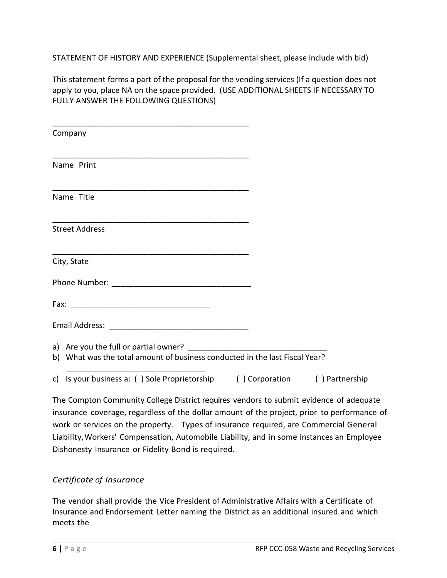STATEMENT OF HISTORY AND EXPERIENCE (Supplemental sheet, please include with bid)

This statement forms a part of the proposal for the vending services (If a question does not apply to you, place NA on the space provided. (USE ADDITIONAL SHEETS IF NECESSARY TO FULLY ANSWER THE FOLLOWING QUESTIONS)

| Company                                                                     |                |
|-----------------------------------------------------------------------------|----------------|
| Name Print                                                                  |                |
| Name Title                                                                  |                |
| <b>Street Address</b>                                                       |                |
| City, State                                                                 |                |
|                                                                             |                |
|                                                                             |                |
|                                                                             |                |
| b) What was the total amount of business conducted in the last Fiscal Year? |                |
| c) Is your business a: () Sole Proprietorship () Corporation                | () Partnership |

The Compton Community College District requires vendors to submit evidence of adequate insurance coverage, regardless of the dollar amount of the project, prior to performance of work or services on the property. Types of insurance required, are Commercial General Liability,Workers' Compensation, Automobile Liability, and in some instances an Employee Dishonesty Insurance or Fidelity Bond is required.

### *Certificate of Insurance*

The vendor shall provide the Vice President of Administrative Affairs with a Certificate of Insurance and Endorsement Letter naming the District as an additional insured and which meets the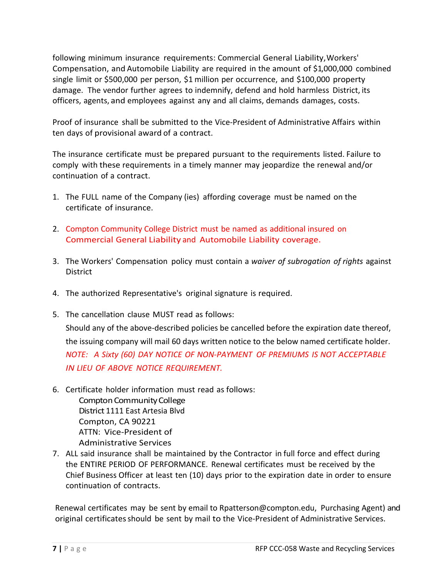following minimum insurance requirements: Commercial General Liability,Workers' Compensation, and Automobile Liability are required in the amount of \$1,000,000 combined single limit or \$500,000 per person, \$1 million per occurrence, and \$100,000 property damage. The vendor further agrees to indemnify, defend and hold harmless District, its officers, agents, and employees against any and all claims, demands damages, costs.

Proof of insurance shall be submitted to the Vice-President of Administrative Affairs within ten days of provisional award of a contract.

The insurance certificate must be prepared pursuant to the requirements listed. Failure to comply with these requirements in a timely manner may jeopardize the renewal and/or continuation of a contract.

- 1. The FULL name of the Company (ies) affording coverage must be named on the certificate of insurance.
- 2. Compton Community College District must be named as additional insured on Commercial General Liability and Automobile Liability coverage.
- 3. The Workers' Compensation policy must contain a *waiver of subrogation of rights* against **District**
- 4. The authorized Representative's original signature is required.
- 5. The cancellation clause MUST read as follows: Should any of the above-described policies be cancelled before the expiration date thereof, the issuing company will mail 60 days written notice to the below named certificate holder. *NOTE: A Sixty (60) DAY NOTICE OF NON-PAYMENT OF PREMIUMS IS NOT ACCEPTABLE IN LIEU OF ABOVE NOTICE REQUIREMENT.*
- 6. Certificate holder information must read as follows: Compton Community College District 1111 East Artesia Blvd Compton, CA 90221 ATTN: Vice-President of Administrative Services
- 7. ALL said insurance shall be maintained by the Contractor in full force and effect during the ENTIRE PERIOD OF PERFORMANCE. Renewal certificates must be received by the Chief Business Officer at least ten (10) days prior to the expiration date in order to ensure continuation of contracts.

Renewal certificates may be sent by email to Rpatterson@compton.edu, Purchasing Agent) and original certificates should be sent by mail to the Vice-President of Administrative Services.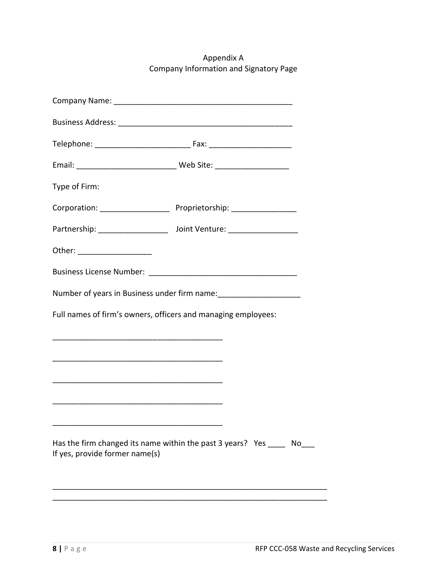Appendix A Company Information and Signatory Page

| Type of Firm:                                                                                                        |                                                                     |
|----------------------------------------------------------------------------------------------------------------------|---------------------------------------------------------------------|
|                                                                                                                      |                                                                     |
|                                                                                                                      |                                                                     |
| Other: _____________________                                                                                         |                                                                     |
|                                                                                                                      |                                                                     |
|                                                                                                                      | Number of years in Business under firm name: ______________________ |
| Full names of firm's owners, officers and managing employees:                                                        |                                                                     |
|                                                                                                                      |                                                                     |
|                                                                                                                      |                                                                     |
| <u> 1980 - Johann Barbara, martxa alemaniar argumento de la contrada de la contrada de la contrada de la contrad</u> |                                                                     |
|                                                                                                                      |                                                                     |
|                                                                                                                      |                                                                     |
| If yes, provide former name(s)                                                                                       | Has the firm changed its name within the past 3 years? Yes No       |
|                                                                                                                      |                                                                     |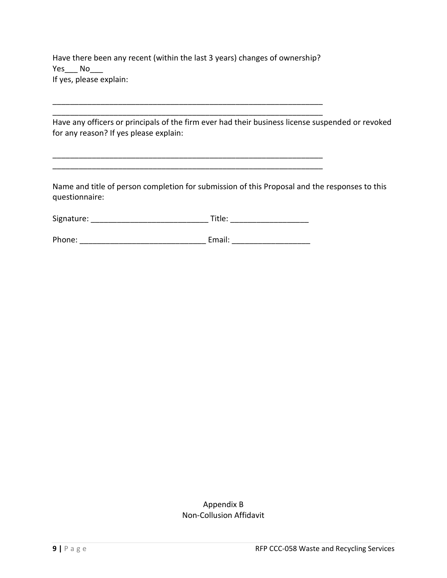Have there been any recent (within the last 3 years) changes of ownership? Yes\_\_\_ No If yes, please explain:

\_\_\_\_\_\_\_\_\_\_\_\_\_\_\_\_\_\_\_\_\_\_\_\_\_\_\_\_\_\_\_\_\_\_\_\_\_\_\_\_\_\_\_\_\_\_\_\_\_\_\_\_\_\_\_\_\_\_\_\_\_\_ \_\_\_\_\_\_\_\_\_\_\_\_\_\_\_\_\_\_\_\_\_\_\_\_\_\_\_\_\_\_\_\_\_\_\_\_\_\_\_\_\_\_\_\_\_\_\_\_\_\_\_\_\_\_\_\_\_\_\_\_\_\_

\_\_\_\_\_\_\_\_\_\_\_\_\_\_\_\_\_\_\_\_\_\_\_\_\_\_\_\_\_\_\_\_\_\_\_\_\_\_\_\_\_\_\_\_\_\_\_\_\_\_\_\_\_\_\_\_\_\_\_\_\_\_ \_\_\_\_\_\_\_\_\_\_\_\_\_\_\_\_\_\_\_\_\_\_\_\_\_\_\_\_\_\_\_\_\_\_\_\_\_\_\_\_\_\_\_\_\_\_\_\_\_\_\_\_\_\_\_\_\_\_\_\_\_\_

Have any officers or principals of the firm ever had their business license suspended or revoked for any reason? If yes please explain:

Name and title of person completion for submission of this Proposal and the responses to this questionnaire:

| Signature: | Title: |  |
|------------|--------|--|
|            |        |  |

Phone: \_\_\_\_\_\_\_\_\_\_\_\_\_\_\_\_\_\_\_\_\_\_\_\_\_\_\_\_\_ Email: \_\_\_\_\_\_\_\_\_\_\_\_\_\_\_\_\_\_

#### Appendix B Non-Collusion Affidavit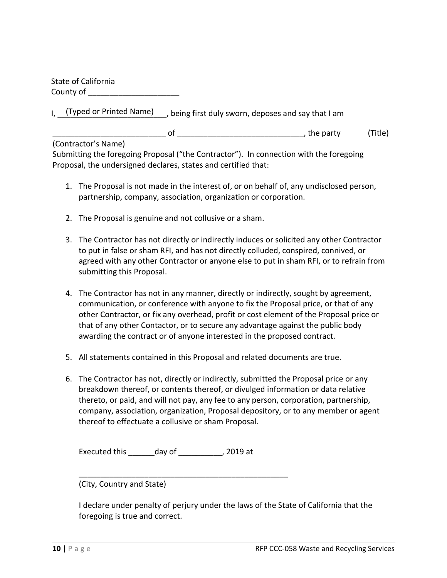State of California County of

I, (Typed or Printed Name) being first duly sworn, deposes and say that I am

\_\_\_\_\_\_\_\_\_\_\_\_\_\_\_\_\_\_\_\_\_\_\_\_\_\_ of \_\_\_\_\_\_\_\_\_\_\_\_\_\_\_\_\_\_\_\_\_\_\_\_\_\_\_\_\_, the party (Title)

(Contractor's Name)

Submitting the foregoing Proposal ("the Contractor"). In connection with the foregoing Proposal, the undersigned declares, states and certified that:

- 1. The Proposal is not made in the interest of, or on behalf of, any undisclosed person, partnership, company, association, organization or corporation.
- 2. The Proposal is genuine and not collusive or a sham.
- 3. The Contractor has not directly or indirectly induces or solicited any other Contractor to put in false or sham RFI, and has not directly colluded, conspired, connived, or agreed with any other Contractor or anyone else to put in sham RFI, or to refrain from submitting this Proposal.
- 4. The Contractor has not in any manner, directly or indirectly, sought by agreement, communication, or conference with anyone to fix the Proposal price, or that of any other Contractor, or fix any overhead, profit or cost element of the Proposal price or that of any other Contactor, or to secure any advantage against the public body awarding the contract or of anyone interested in the proposed contract.
- 5. All statements contained in this Proposal and related documents are true.
- 6. The Contractor has not, directly or indirectly, submitted the Proposal price or any breakdown thereof, or contents thereof, or divulged information or data relative thereto, or paid, and will not pay, any fee to any person, corporation, partnership, company, association, organization, Proposal depository, or to any member or agent thereof to effectuate a collusive or sham Proposal.

Executed this \_\_\_\_\_\_day of \_\_\_\_\_\_\_\_\_\_, 2019 at

\_\_\_\_\_\_\_\_\_\_\_\_\_\_\_\_\_\_\_\_\_\_\_\_\_\_\_\_\_\_\_\_\_\_\_\_\_\_\_\_\_\_\_\_\_\_\_\_

(City, Country and State)

I declare under penalty of perjury under the laws of the State of California that the foregoing is true and correct.